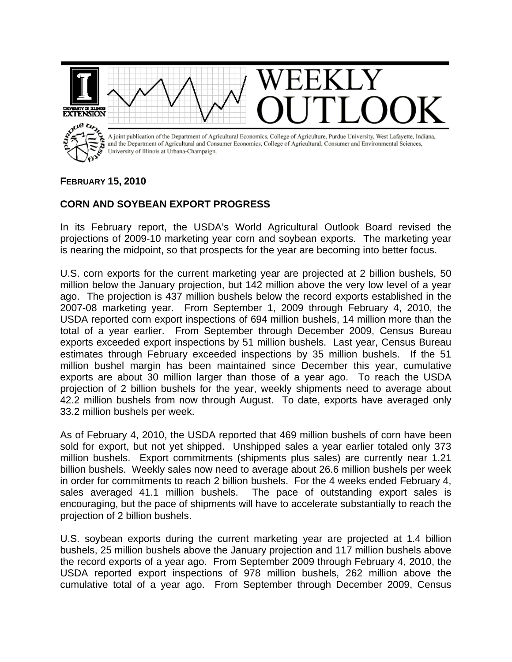

## **FEBRUARY 15, 2010**

## **CORN AND SOYBEAN EXPORT PROGRESS**

In its February report, the USDA's World Agricultural Outlook Board revised the projections of 2009-10 marketing year corn and soybean exports. The marketing year is nearing the midpoint, so that prospects for the year are becoming into better focus.

U.S. corn exports for the current marketing year are projected at 2 billion bushels, 50 million below the January projection, but 142 million above the very low level of a year ago. The projection is 437 million bushels below the record exports established in the 2007-08 marketing year. From September 1, 2009 through February 4, 2010, the USDA reported corn export inspections of 694 million bushels, 14 million more than the total of a year earlier. From September through December 2009, Census Bureau exports exceeded export inspections by 51 million bushels. Last year, Census Bureau estimates through February exceeded inspections by 35 million bushels. If the 51 million bushel margin has been maintained since December this year, cumulative exports are about 30 million larger than those of a year ago. To reach the USDA projection of 2 billion bushels for the year, weekly shipments need to average about 42.2 million bushels from now through August. To date, exports have averaged only 33.2 million bushels per week.

As of February 4, 2010, the USDA reported that 469 million bushels of corn have been sold for export, but not yet shipped. Unshipped sales a year earlier totaled only 373 million bushels. Export commitments (shipments plus sales) are currently near 1.21 billion bushels. Weekly sales now need to average about 26.6 million bushels per week in order for commitments to reach 2 billion bushels. For the 4 weeks ended February 4, sales averaged 41.1 million bushels. The pace of outstanding export sales is encouraging, but the pace of shipments will have to accelerate substantially to reach the projection of 2 billion bushels.

U.S. soybean exports during the current marketing year are projected at 1.4 billion bushels, 25 million bushels above the January projection and 117 million bushels above the record exports of a year ago. From September 2009 through February 4, 2010, the USDA reported export inspections of 978 million bushels, 262 million above the cumulative total of a year ago. From September through December 2009, Census